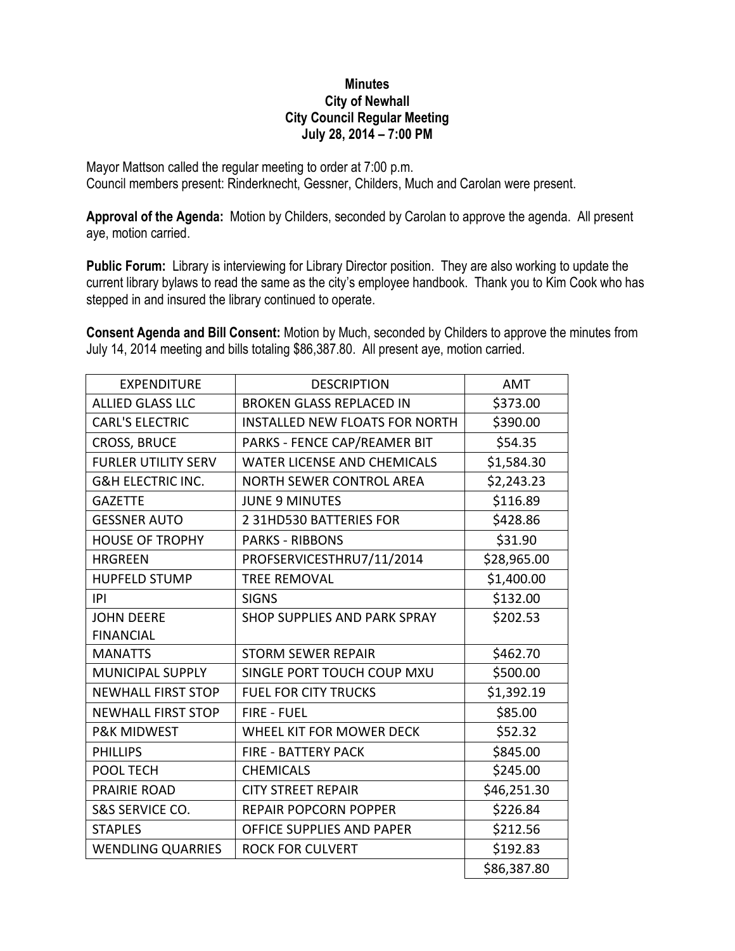## **Minutes City of Newhall City Council Regular Meeting July 28, 2014 – 7:00 PM**

Mayor Mattson called the regular meeting to order at 7:00 p.m. Council members present: Rinderknecht, Gessner, Childers, Much and Carolan were present.

**Approval of the Agenda:** Motion by Childers, seconded by Carolan to approve the agenda. All present aye, motion carried.

**Public Forum:** Library is interviewing for Library Director position. They are also working to update the current library bylaws to read the same as the city's employee handbook. Thank you to Kim Cook who has stepped in and insured the library continued to operate.

**Consent Agenda and Bill Consent:** Motion by Much, seconded by Childers to approve the minutes from July 14, 2014 meeting and bills totaling \$86,387.80. All present aye, motion carried.

| <b>EXPENDITURE</b>           | <b>DESCRIPTION</b>                    | <b>AMT</b>  |
|------------------------------|---------------------------------------|-------------|
| <b>ALLIED GLASS LLC</b>      | <b>BROKEN GLASS REPLACED IN</b>       | \$373.00    |
| <b>CARL'S ELECTRIC</b>       | <b>INSTALLED NEW FLOATS FOR NORTH</b> | \$390.00    |
| <b>CROSS, BRUCE</b>          | PARKS - FENCE CAP/REAMER BIT          | \$54.35     |
| <b>FURLER UTILITY SERV</b>   | <b>WATER LICENSE AND CHEMICALS</b>    | \$1,584.30  |
| <b>G&amp;H ELECTRIC INC.</b> | <b>NORTH SEWER CONTROL AREA</b>       | \$2,243.23  |
| <b>GAZETTE</b>               | <b>JUNE 9 MINUTES</b>                 | \$116.89    |
| <b>GESSNER AUTO</b>          | 2 31HD530 BATTERIES FOR               | \$428.86    |
| <b>HOUSE OF TROPHY</b>       | <b>PARKS - RIBBONS</b>                | \$31.90     |
| <b>HRGREEN</b>               | PROFSERVICESTHRU7/11/2014             | \$28,965.00 |
| <b>HUPFELD STUMP</b>         | <b>TREE REMOVAL</b>                   | \$1,400.00  |
| P                            | <b>SIGNS</b>                          | \$132.00    |
| <b>JOHN DEERE</b>            | SHOP SUPPLIES AND PARK SPRAY          | \$202.53    |
| <b>FINANCIAL</b>             |                                       |             |
| <b>MANATTS</b>               | <b>STORM SEWER REPAIR</b>             | \$462.70    |
| <b>MUNICIPAL SUPPLY</b>      | SINGLE PORT TOUCH COUP MXU            | \$500.00    |
| <b>NEWHALL FIRST STOP</b>    | <b>FUEL FOR CITY TRUCKS</b>           | \$1,392.19  |
| <b>NEWHALL FIRST STOP</b>    | <b>FIRE - FUEL</b>                    | \$85.00     |
| <b>P&amp;K MIDWEST</b>       | WHEEL KIT FOR MOWER DECK              | \$52.32     |
| <b>PHILLIPS</b>              | <b>FIRE - BATTERY PACK</b>            | \$845.00    |
| POOL TECH                    | <b>CHEMICALS</b>                      | \$245.00    |
| PRAIRIE ROAD                 | <b>CITY STREET REPAIR</b>             | \$46,251.30 |
| <b>S&amp;S SERVICE CO.</b>   | <b>REPAIR POPCORN POPPER</b>          | \$226.84    |
| <b>STAPLES</b>               | OFFICE SUPPLIES AND PAPER             | \$212.56    |
| <b>WENDLING QUARRIES</b>     | <b>ROCK FOR CULVERT</b>               | \$192.83    |
|                              |                                       | \$86,387.80 |